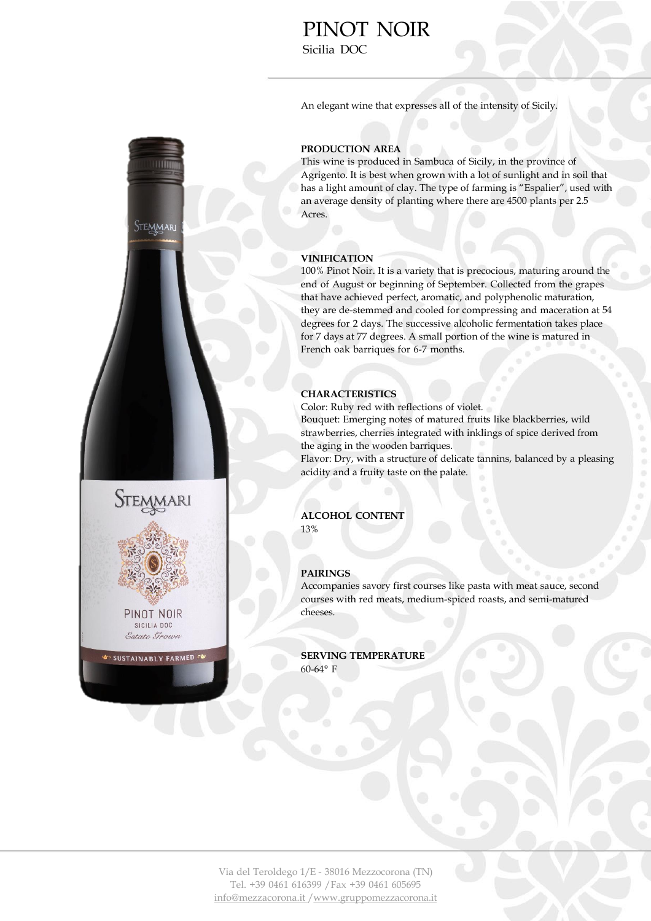# PINOT NOIR Sicilia DOC

An elegant wine that expresses all of the intensity of Sicily.



### **PRODUCTION AREA**

This wine is produced in Sambuca of Sicily, in the province of Agrigento. It is best when grown with a lot of sunlight and in soil that has a light amount of clay. The type of farming is "Espalier", used with an average density of planting where there are 4500 plants per 2.5 Acres.

### **VINIFICATION**

100% Pinot Noir. It is a variety that is precocious, maturing around the end of August or beginning of September. Collected from the grapes that have achieved perfect, aromatic, and polyphenolic maturation, they are de-stemmed and cooled for compressing and maceration at 54 degrees for 2 days. The successive alcoholic fermentation takes place for 7 days at 77 degrees. A small portion of the wine is matured in French oak barriques for 6-7 months.

## **CHARACTERISTICS**

Color: Ruby red with reflections of violet.

Bouquet: Emerging notes of matured fruits like blackberries, wild strawberries, cherries integrated with inklings of spice derived from the aging in the wooden barriques.

Flavor: Dry, with a structure of delicate tannins, balanced by a pleasing acidity and a fruity taste on the palate.

#### **ALCOHOL CONTENT**  13%

#### **PAIRINGS**

Accompanies savory first courses like pasta with meat sauce, second courses with red meats, medium-spiced roasts, and semi-matured cheeses.

**SERVING TEMPERATURE**  60-64° F